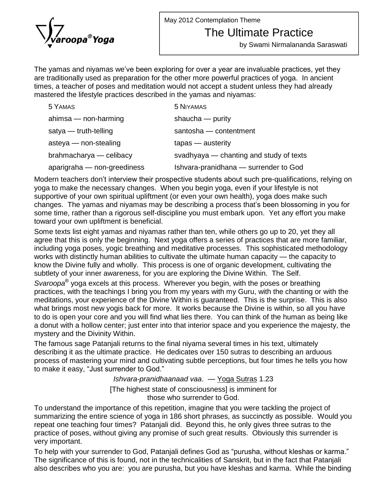

May 2012 Contemplation Theme

## The Ultimate Practice

by Swami Nirmalananda Saraswati

The yamas and niyamas we've been exploring for over a year are invaluable practices, yet they are traditionally used as preparation for the other more powerful practices of yoga. In ancient times, a teacher of poses and meditation would not accept a student unless they had already mastered the lifestyle practices described in the yamas and niyamas:

| 5 YAMAS                     | <b>5 NIYAMAS</b>                        |
|-----------------------------|-----------------------------------------|
| ahimsa — non-harming        | shaucha $-$ purity                      |
| satya $-$ truth-telling     | santosha — contentment                  |
| $asteya$ - non-stealing     | $taps$ — austerity                      |
| brahmacharya — celibacy     | svadhyaya — chanting and study of texts |
| aparigraha — non-greediness | Ishvara-pranidhana - surrender to God   |

Modern teachers donít interview their prospective students about such pre-qualifications, relying on yoga to make the necessary changes. When you begin yoga, even if your lifestyle is not supportive of your own spiritual upliftment (or even your own health), yoga does make such changes. The yamas and niyamas may be describing a process that's been blossoming in you for some time, rather than a rigorous self-discipline you must embark upon. Yet any effort you make toward your own upliftment is beneficial.

Some texts list eight yamas and niyamas rather than ten, while others go up to 20, yet they all agree that this is only the beginning. Next yoga offers a series of practices that are more familiar, including yoga poses, yogic breathing and meditative processes. This sophisticated methodology works with distinctly hum including yoga poses, yogic breathing and meditative processes. This sophisticated methodology know the Divine fully and wholly. This process is one of organic development, cultivating the Æsubtlety of your inner awareness, for you are exploring the Divine Within. The Self.

Svaroopa<sup>®</sup> yoga excels at this process. Wherever you begin, with the poses or breathing practices, with the teachings I bring you from my years with my Guru, with the chanting or with the meditations, your experience of the Divine Within is guaranteed. This is the surprise. This is also what brings most new yogis back for more. It works because the Divine is within, so all you have to do is open your core and you will find what lies there. You can think of the human as being like a donut with a hollow center; just enter into that interior space and you experience the majesty, the mystery and the Divinity Within.

The famous sage Patanjali returns to the final niyama several times in his text, ultimately Increasing it as the ultimate practice. He dedicates over 150 sutras to describing an arduous<br>process of mastering your mind and cultivating subtle perceptions, but four times he tells you how<br>to make it easy, "Just surren process of mastering your mind and cultivating subtle perceptions, but four times he tells you how<br>to make it easy, "Just surrender to God."<br>*Ishvara-pranidhaanaad vaa*. — <u>Yoga Sutras</u> 1.23

[The highest state of consciousness] is imminent for those who surrender to God.

To understand the importance of this repetition, imagine that you were tackling the project of summarizing the entire science of yoga in 186 short phrases, as succinctly as possible. Would you repeat one teaching four times? Patanjali did. Beyond this, he only gives three sutras to the practice of poses, without giving any promise of such great results. Obviously this surrender is very important.

To help with your surrender to God, Patanjali defines God as "purusha, without kleshas or karma." The significance of this is found, not in the technicalities of Sanskrit, but in the fact that Patanjali also describes who you are: you are purusha, but you have kleshas and karma. While the binding